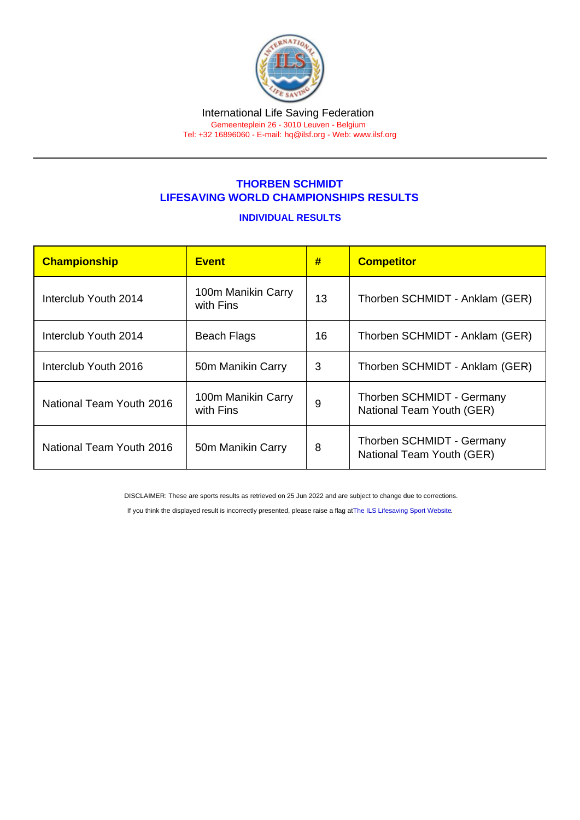## THORBEN SCHMIDT LIFESAVING WORLD CHAMPIONSHIPS RESULTS

## INDIVIDUAL RESULTS

| Championship             | <b>Event</b>                    | #  | <b>Competitor</b>                                      |
|--------------------------|---------------------------------|----|--------------------------------------------------------|
| Interclub Youth 2014     | 100m Manikin Carry<br>with Fins | 13 | Thorben SCHMIDT - Anklam (GER)                         |
| Interclub Youth 2014     | <b>Beach Flags</b>              | 16 | Thorben SCHMIDT - Anklam (GER)                         |
| Interclub Youth 2016     | 50m Manikin Carry               | 3  | Thorben SCHMIDT - Anklam (GER)                         |
| National Team Youth 2016 | 100m Manikin Carry<br>with Fins | 9  | Thorben SCHMIDT - Germany<br>National Team Youth (GER) |
| National Team Youth 2016 | 50m Manikin Carry               | 8  | Thorben SCHMIDT - Germany<br>National Team Youth (GER) |

DISCLAIMER: These are sports results as retrieved on 25 Jun 2022 and are subject to change due to corrections.

If you think the displayed result is incorrectly presented, please raise a flag at [The ILS Lifesaving Sport Website.](https://sport.ilsf.org)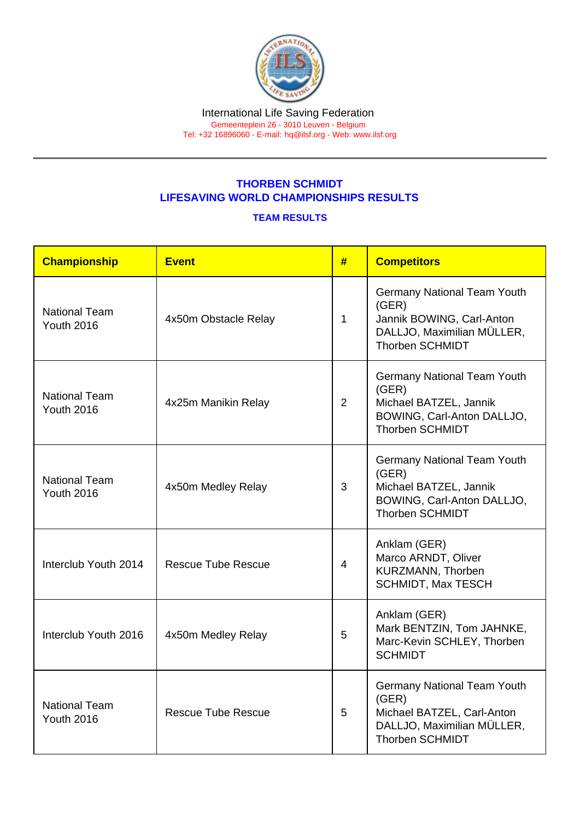## THORBEN SCHMIDT LIFESAVING WORLD CHAMPIONSHIPS RESULTS

## TEAM RESULTS

| Championship                              | Event                     | #              | <b>Competitors</b>                                                                                                                |
|-------------------------------------------|---------------------------|----------------|-----------------------------------------------------------------------------------------------------------------------------------|
| <b>National Team</b><br><b>Youth 2016</b> | 4x50m Obstacle Relay      | $\mathbf{1}$   | <b>Germany National Team Youth</b><br>(GER)<br>Jannik BOWING, Carl-Anton<br>DALLJO, Maximilian MÜLLER,<br><b>Thorben SCHMIDT</b>  |
| <b>National Team</b><br><b>Youth 2016</b> | 4x25m Manikin Relay       | $\overline{2}$ | <b>Germany National Team Youth</b><br>(GER)<br>Michael BATZEL, Jannik<br>BOWING, Carl-Anton DALLJO,<br><b>Thorben SCHMIDT</b>     |
| <b>National Team</b><br><b>Youth 2016</b> | 4x50m Medley Relay        | 3              | <b>Germany National Team Youth</b><br>(GER)<br>Michael BATZEL, Jannik<br>BOWING, Carl-Anton DALLJO,<br><b>Thorben SCHMIDT</b>     |
| Interclub Youth 2014                      | <b>Rescue Tube Rescue</b> | $\overline{4}$ | Anklam (GER)<br>Marco ARNDT, Oliver<br>KURZMANN, Thorben<br><b>SCHMIDT, Max TESCH</b>                                             |
| Interclub Youth 2016                      | 4x50m Medley Relay        | 5              | Anklam (GER)<br>Mark BENTZIN, Tom JAHNKE,<br>Marc-Kevin SCHLEY, Thorben<br><b>SCHMIDT</b>                                         |
| <b>National Team</b><br><b>Youth 2016</b> | <b>Rescue Tube Rescue</b> | 5              | <b>Germany National Team Youth</b><br>(GER)<br>Michael BATZEL, Carl-Anton<br>DALLJO, Maximilian MÜLLER,<br><b>Thorben SCHMIDT</b> |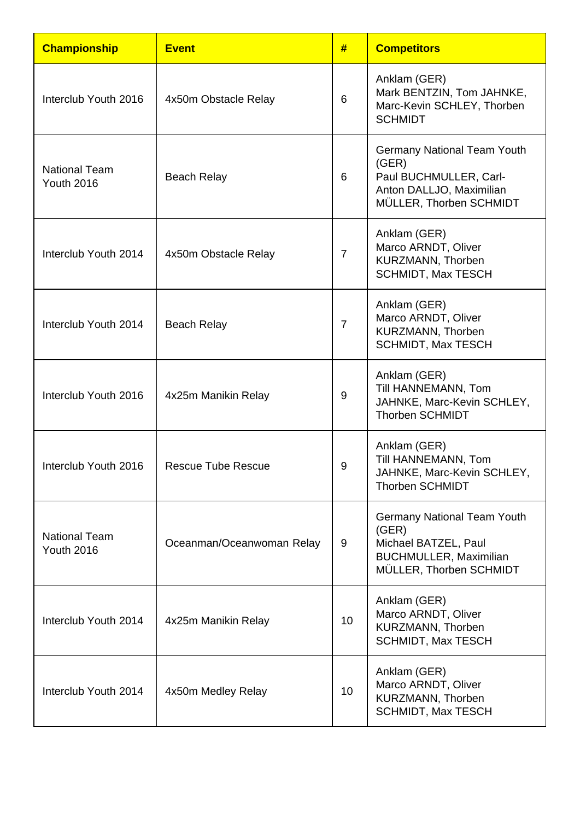| <b>Championship</b>                       | <b>Event</b>              | #              | <b>Competitors</b>                                                                                                              |
|-------------------------------------------|---------------------------|----------------|---------------------------------------------------------------------------------------------------------------------------------|
| Interclub Youth 2016                      | 4x50m Obstacle Relay      | 6              | Anklam (GER)<br>Mark BENTZIN, Tom JAHNKE,<br>Marc-Kevin SCHLEY, Thorben<br><b>SCHMIDT</b>                                       |
| <b>National Team</b><br><b>Youth 2016</b> | <b>Beach Relay</b>        | 6              | <b>Germany National Team Youth</b><br>(GER)<br>Paul BUCHMULLER, Carl-<br>Anton DALLJO, Maximilian<br>MÜLLER, Thorben SCHMIDT    |
| Interclub Youth 2014                      | 4x50m Obstacle Relay      | $\overline{7}$ | Anklam (GER)<br>Marco ARNDT, Oliver<br>KURZMANN, Thorben<br><b>SCHMIDT, Max TESCH</b>                                           |
| Interclub Youth 2014                      | <b>Beach Relay</b>        | $\overline{7}$ | Anklam (GER)<br>Marco ARNDT, Oliver<br>KURZMANN, Thorben<br><b>SCHMIDT, Max TESCH</b>                                           |
| Interclub Youth 2016                      | 4x25m Manikin Relay       | 9              | Anklam (GER)<br>Till HANNEMANN, Tom<br>JAHNKE, Marc-Kevin SCHLEY,<br><b>Thorben SCHMIDT</b>                                     |
| Interclub Youth 2016                      | <b>Rescue Tube Rescue</b> | 9              | Anklam (GER)<br>Till HANNEMANN, Tom<br>JAHNKE, Marc-Kevin SCHLEY,<br><b>Thorben SCHMIDT</b>                                     |
| <b>National Team</b><br><b>Youth 2016</b> | Oceanman/Oceanwoman Relay | 9              | <b>Germany National Team Youth</b><br>(GER)<br>Michael BATZEL, Paul<br><b>BUCHMULLER, Maximilian</b><br>MÜLLER, Thorben SCHMIDT |
| Interclub Youth 2014                      | 4x25m Manikin Relay       | 10             | Anklam (GER)<br>Marco ARNDT, Oliver<br>KURZMANN, Thorben<br><b>SCHMIDT, Max TESCH</b>                                           |
| Interclub Youth 2014                      | 4x50m Medley Relay        | 10             | Anklam (GER)<br>Marco ARNDT, Oliver<br>KURZMANN, Thorben<br><b>SCHMIDT, Max TESCH</b>                                           |